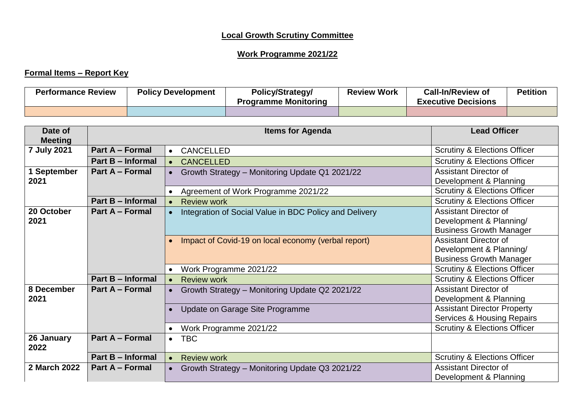## **Local Growth Scrutiny Committee**

## **Work Programme 2021/22**

## **Formal Items – Report Key**

| <b>Performance Review</b> | <b>Policy Development</b> | Policy/Strategy/<br><b>Programme Monitoring</b> | <b>Review Work</b> | <b>Call-In/Review of</b><br><b>Executive Decisions</b> | <b>Petition</b> |
|---------------------------|---------------------------|-------------------------------------------------|--------------------|--------------------------------------------------------|-----------------|
|                           |                           |                                                 |                    |                                                        |                 |

| Date of<br><b>Meeting</b> |                          | <b>Lead Officer</b>                                                 |                                                                                           |
|---------------------------|--------------------------|---------------------------------------------------------------------|-------------------------------------------------------------------------------------------|
| 7 July 2021               | Part A - Formal          | CANCELLED<br>$\bullet$                                              | <b>Scrutiny &amp; Elections Officer</b>                                                   |
|                           | Part B - Informal        | <b>CANCELLED</b><br>$\bullet$                                       | <b>Scrutiny &amp; Elections Officer</b>                                                   |
| 1 September               | <b>Part A – Formal</b>   | Growth Strategy - Monitoring Update Q1 2021/22                      | <b>Assistant Director of</b>                                                              |
| 2021                      |                          |                                                                     | Development & Planning                                                                    |
|                           |                          | Agreement of Work Programme 2021/22<br>$\bullet$                    | <b>Scrutiny &amp; Elections Officer</b>                                                   |
|                           | Part B - Informal        | <b>Review work</b><br>$\bullet$                                     | <b>Scrutiny &amp; Elections Officer</b>                                                   |
| 20 October<br>2021        | Part A - Formal          | Integration of Social Value in BDC Policy and Delivery<br>$\bullet$ | <b>Assistant Director of</b><br>Development & Planning/<br><b>Business Growth Manager</b> |
|                           |                          | Impact of Covid-19 on local economy (verbal report)                 | <b>Assistant Director of</b><br>Development & Planning/<br><b>Business Growth Manager</b> |
|                           |                          | Work Programme 2021/22                                              | <b>Scrutiny &amp; Elections Officer</b>                                                   |
|                           | <b>Part B - Informal</b> | <b>Review work</b><br>$\bullet$                                     | <b>Scrutiny &amp; Elections Officer</b>                                                   |
| 8 December<br>2021        | Part A - Formal          | Growth Strategy - Monitoring Update Q2 2021/22                      | <b>Assistant Director of</b><br>Development & Planning                                    |
|                           |                          | Update on Garage Site Programme                                     | <b>Assistant Director Property</b><br><b>Services &amp; Housing Repairs</b>               |
|                           |                          | Work Programme 2021/22                                              | <b>Scrutiny &amp; Elections Officer</b>                                                   |
| 26 January<br>2022        | <b>Part A - Formal</b>   | <b>TBC</b><br>$\bullet$                                             |                                                                                           |
|                           | Part B - Informal        | <b>Review work</b><br>$\bullet$                                     | <b>Scrutiny &amp; Elections Officer</b>                                                   |
| 2 March 2022              | <b>Part A – Formal</b>   | Growth Strategy - Monitoring Update Q3 2021/22<br>$\bullet$         | <b>Assistant Director of</b><br>Development & Planning                                    |